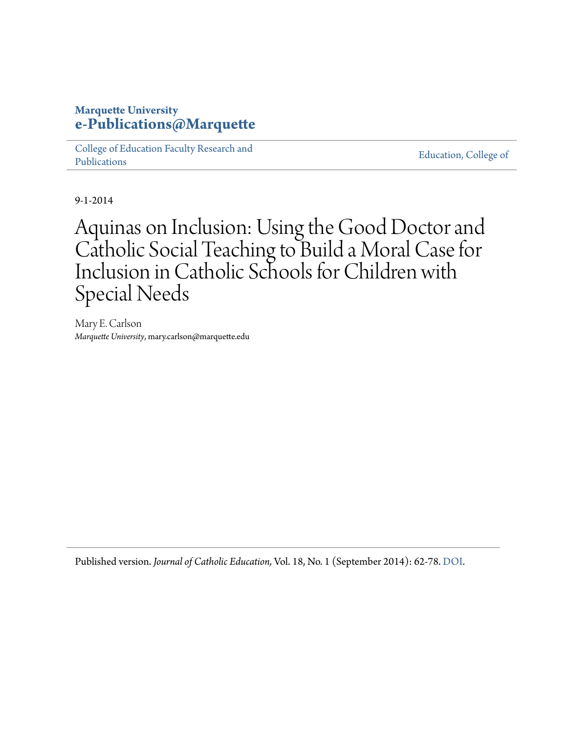# **Marquette University [e-Publications@Marquette](https://epublications.marquette.edu)**

[College of Education Faculty Research and](https://epublications.marquette.edu/edu_fac) [Publications](https://epublications.marquette.edu/edu_fac)

[Education, College of](https://epublications.marquette.edu/education)

9-1-2014

Aquinas on Inclusion: Using the Good Doctor and Catholic Social Teaching to Build a Moral Case for Inclusion in Catholic Schools for Children with Special Needs

Mary E. Carlson *Marquette University*, mary.carlson@marquette.edu

Published version. *Journal of Catholic Education,* Vol. 18, No. 1 (September 2014): 62-78. [DOI.](http://dx.doi.org/10.15365/joce.1801042014)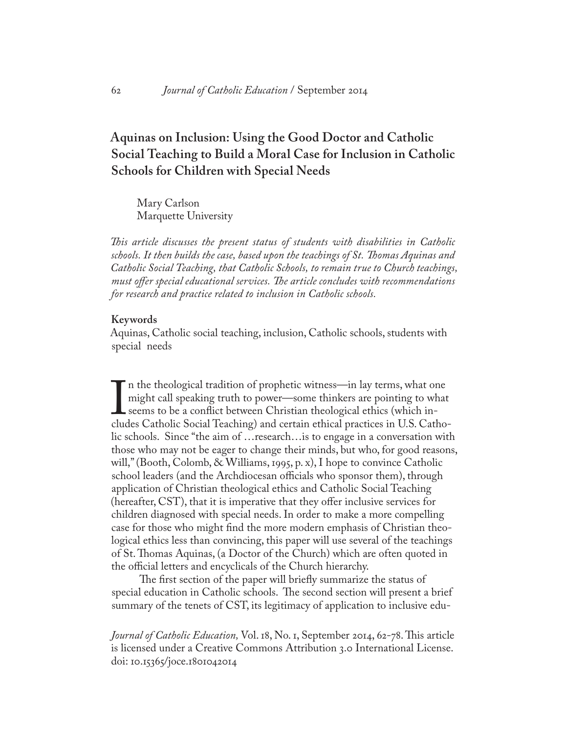# **Aquinas on Inclusion: Using the Good Doctor and Catholic Social Teaching to Build a Moral Case for Inclusion in Catholic Schools for Children with Special Needs**

Mary Carlson Marquette University

*This article discusses the present status of students with disabilities in Catholic schools. It then builds the case, based upon the teachings of St. Thomas Aquinas and Catholic Social Teaching, that Catholic Schools, to remain true to Church teachings, must offer special educational services. The article concludes with recommendations for research and practice related to inclusion in Catholic schools.* 

#### **Keywords**

Aquinas, Catholic social teaching, inclusion, Catholic schools, students with special needs

In the theological tradition of prophetic writess III hay terms, what one<br>might call speaking truth to power—some thinkers are pointing to what<br>seems to be a conflict between Christian theological ethics (which in-<br>cludes n the theological tradition of prophetic witness—in lay terms, what one might call speaking truth to power—some thinkers are pointing to what seems to be a conflict between Christian theological ethics (which inlic schools. Since "the aim of …research…is to engage in a conversation with those who may not be eager to change their minds, but who, for good reasons, will," (Booth, Colomb, & Williams, 1995, p. x), I hope to convince Catholic school leaders (and the Archdiocesan officials who sponsor them), through application of Christian theological ethics and Catholic Social Teaching (hereafter, CST), that it is imperative that they offer inclusive services for children diagnosed with special needs. In order to make a more compelling case for those who might find the more modern emphasis of Christian theological ethics less than convincing, this paper will use several of the teachings of St. Thomas Aquinas, (a Doctor of the Church) which are often quoted in the official letters and encyclicals of the Church hierarchy.

 The first section of the paper will briefly summarize the status of special education in Catholic schools. The second section will present a brief summary of the tenets of CST, its legitimacy of application to inclusive edu-

*Journal of Catholic Education,* Vol. 18, No. 1, September 2014, 62-78. This article is licensed under a Creative Commons Attribution 3.0 International License. doi: 10.15365/joce.1801042014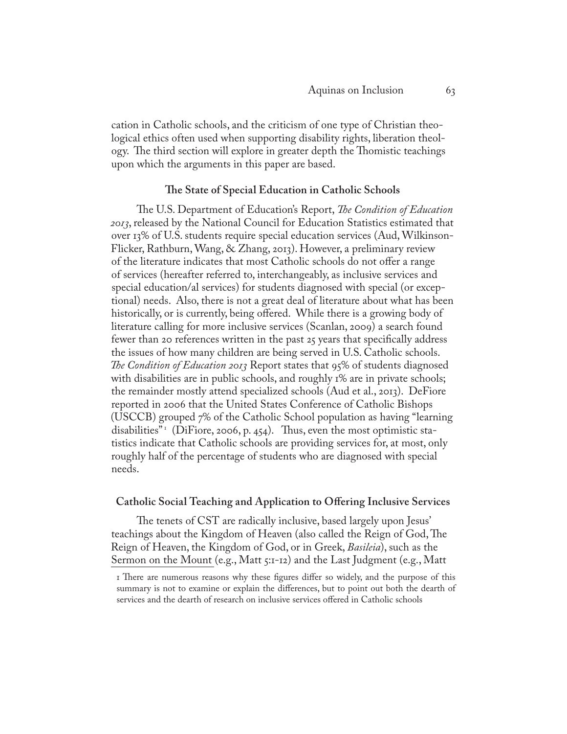cation in Catholic schools, and the criticism of one type of Christian theological ethics often used when supporting disability rights, liberation theology. The third section will explore in greater depth the Thomistic teachings upon which the arguments in this paper are based.

### **The State of Special Education in Catholic Schools**

 The U.S. Department of Education's Report, *The Condition of Education 2013*, released by the National Council for Education Statistics estimated that over 13% of U.S. students require special education services (Aud, Wilkinson-Flicker, Rathburn, Wang, & Zhang, 2013). However, a preliminary review of the literature indicates that most Catholic schools do not offer a range of services (hereafter referred to, interchangeably, as inclusive services and special education/al services) for students diagnosed with special (or exceptional) needs. Also, there is not a great deal of literature about what has been historically, or is currently, being offered. While there is a growing body of literature calling for more inclusive services (Scanlan, 2009) a search found fewer than 20 references written in the past 25 years that specifically address the issues of how many children are being served in U.S. Catholic schools. *The Condition of Education 2013* Report states that 95% of students diagnosed with disabilities are in public schools, and roughly 1% are in private schools; the remainder mostly attend specialized schools (Aud et al., 2013). DeFiore reported in 2006 that the United States Conference of Catholic Bishops (USCCB) grouped 7% of the Catholic School population as having "learning disabilities"<sup>1</sup> (DiFiore, 2006, p. 454). Thus, even the most optimistic statistics indicate that Catholic schools are providing services for, at most, only roughly half of the percentage of students who are diagnosed with special needs.

#### **Catholic Social Teaching and Application to Offering Inclusive Services**

 The tenets of CST are radically inclusive, based largely upon Jesus' teachings about the Kingdom of Heaven (also called the Reign of God, The Reign of Heaven, the Kingdom of God, or in Greek, *Basileia*), such as the Sermon on the Mount (e.g., Matt 5:1-12) and the Last Judgment (e.g., Matt

<sup>1</sup> There are numerous reasons why these figures differ so widely, and the purpose of this summary is not to examine or explain the differences, but to point out both the dearth of services and the dearth of research on inclusive services offered in Catholic schools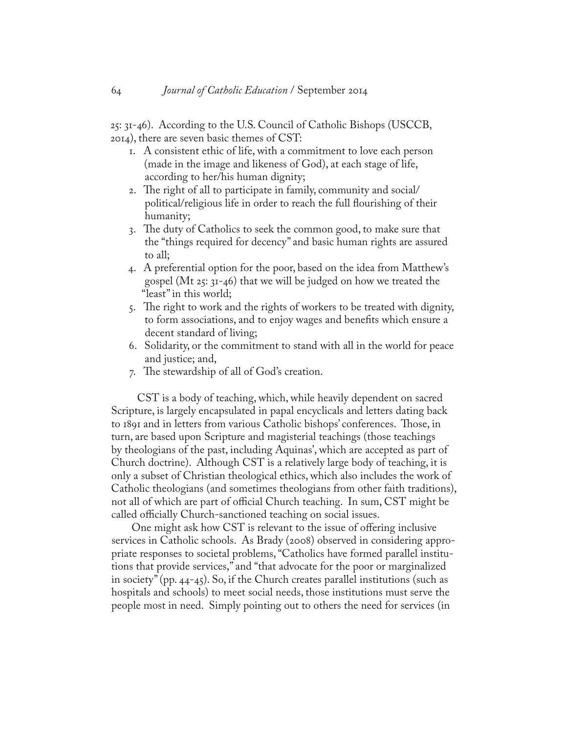25: 31-46). According to the U.S. Council of Catholic Bishops (USCCB, 2014), there are seven basic themes of CST:

- 1. A consistent ethic of life, with a commitment to love each person (made in the image and likeness of God), at each stage of life, according to her/his human dignity;
- 2. The right of all to participate in family, community and social/ political/religious life in order to reach the full flourishing of their humanity;
- 3. The duty of Catholics to seek the common good, to make sure that the "things required for decency" and basic human rights are assured to all;
- 4. A preferential option for the poor, based on the idea from Matthew's gospel (Mt 25: 31-46) that we will be judged on how we treated the "least" in this world;
- 5. The right to work and the rights of workers to be treated with dignity, to form associations, and to enjoy wages and benefits which ensure a decent standard of living;
- 6. Solidarity, or the commitment to stand with all in the world for peace and justice; and,
- 7. The stewardship of all of God's creation.

 CST is a body of teaching, which, while heavily dependent on sacred Scripture, is largely encapsulated in papal encyclicals and letters dating back to 1891 and in letters from various Catholic bishops' conferences. Those, in turn, are based upon Scripture and magisterial teachings (those teachings by theologians of the past, including Aquinas', which are accepted as part of Church doctrine). Although CST is a relatively large body of teaching, it is only a subset of Christian theological ethics, which also includes the work of Catholic theologians (and sometimes theologians from other faith traditions), not all of which are part of official Church teaching. In sum, CST might be called officially Church-sanctioned teaching on social issues.

 One might ask how CST is relevant to the issue of offering inclusive services in Catholic schools. As Brady (2008) observed in considering appropriate responses to societal problems, "Catholics have formed parallel institutions that provide services," and "that advocate for the poor or marginalized in society" (pp. 44-45). So, if the Church creates parallel institutions (such as hospitals and schools) to meet social needs, those institutions must serve the people most in need. Simply pointing out to others the need for services (in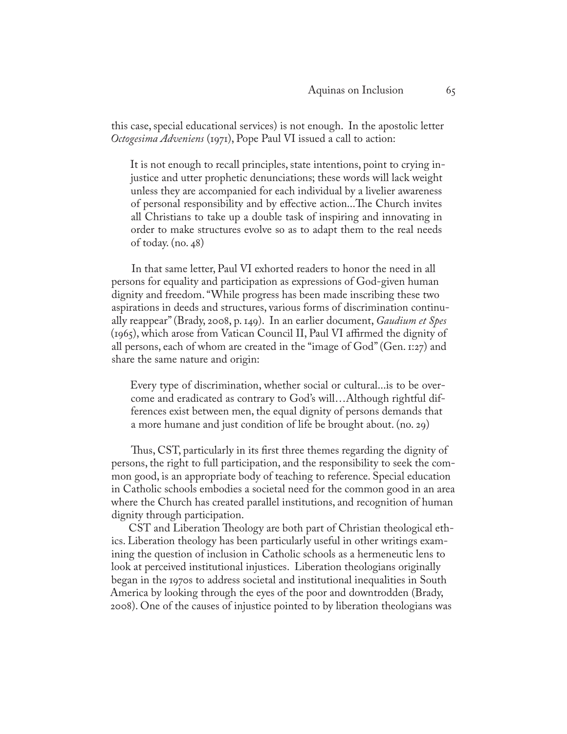this case, special educational services) is not enough. In the apostolic letter *Octogesima Adveniens* (1971), Pope Paul VI issued a call to action:

It is not enough to recall principles, state intentions, point to crying injustice and utter prophetic denunciations; these words will lack weight unless they are accompanied for each individual by a livelier awareness of personal responsibility and by effective action...The Church invites all Christians to take up a double task of inspiring and innovating in order to make structures evolve so as to adapt them to the real needs of today. (no. 48)

 In that same letter, Paul VI exhorted readers to honor the need in all persons for equality and participation as expressions of God-given human dignity and freedom. "While progress has been made inscribing these two aspirations in deeds and structures, various forms of discrimination continually reappear" (Brady, 2008, p. 149). In an earlier document, *Gaudium et Spes* (1965), which arose from Vatican Council II, Paul VI affirmed the dignity of all persons, each of whom are created in the "image of  $God$ " (Gen. 1:27) and share the same nature and origin:

Every type of discrimination, whether social or cultural...is to be overcome and eradicated as contrary to God's will…Although rightful differences exist between men, the equal dignity of persons demands that a more humane and just condition of life be brought about. (no. 29)

 Thus, CST, particularly in its first three themes regarding the dignity of persons, the right to full participation, and the responsibility to seek the common good, is an appropriate body of teaching to reference. Special education in Catholic schools embodies a societal need for the common good in an area where the Church has created parallel institutions, and recognition of human dignity through participation.

 CST and Liberation Theology are both part of Christian theological ethics. Liberation theology has been particularly useful in other writings examining the question of inclusion in Catholic schools as a hermeneutic lens to look at perceived institutional injustices. Liberation theologians originally began in the 1970s to address societal and institutional inequalities in South America by looking through the eyes of the poor and downtrodden (Brady, 2008). One of the causes of injustice pointed to by liberation theologians was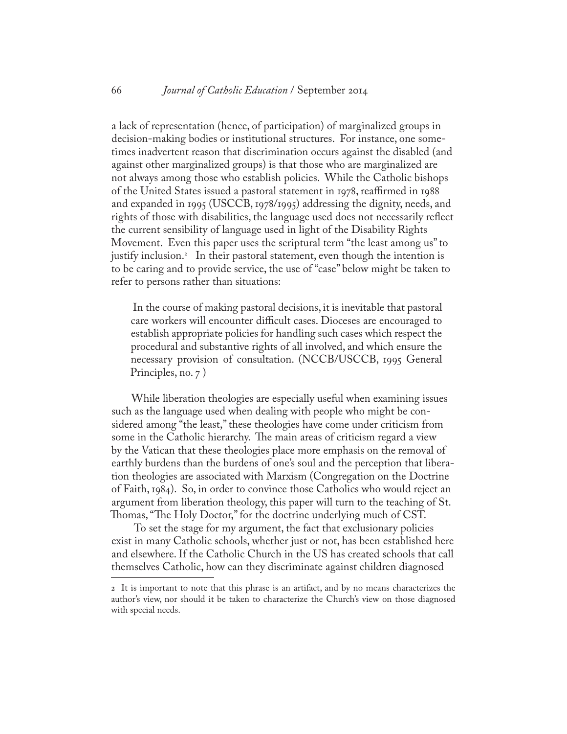a lack of representation (hence, of participation) of marginalized groups in decision-making bodies or institutional structures. For instance, one sometimes inadvertent reason that discrimination occurs against the disabled (and against other marginalized groups) is that those who are marginalized are not always among those who establish policies. While the Catholic bishops of the United States issued a pastoral statement in 1978, reaffirmed in 1988 and expanded in 1995 (USCCB, 1978/1995) addressing the dignity, needs, and rights of those with disabilities, the language used does not necessarily reflect the current sensibility of language used in light of the Disability Rights Movement. Even this paper uses the scriptural term "the least among us" to justify inclusion.2 In their pastoral statement, even though the intention is to be caring and to provide service, the use of "case" below might be taken to refer to persons rather than situations:

 In the course of making pastoral decisions, it is inevitable that pastoral care workers will encounter difficult cases. Dioceses are encouraged to establish appropriate policies for handling such cases which respect the procedural and substantive rights of all involved, and which ensure the necessary provision of consultation. (NCCB/USCCB, 1995 General Principles, no. 7 )

 While liberation theologies are especially useful when examining issues such as the language used when dealing with people who might be considered among "the least," these theologies have come under criticism from some in the Catholic hierarchy. The main areas of criticism regard a view by the Vatican that these theologies place more emphasis on the removal of earthly burdens than the burdens of one's soul and the perception that liberation theologies are associated with Marxism (Congregation on the Doctrine of Faith, 1984). So, in order to convince those Catholics who would reject an argument from liberation theology, this paper will turn to the teaching of St. Thomas, "The Holy Doctor," for the doctrine underlying much of CST.

 To set the stage for my argument, the fact that exclusionary policies exist in many Catholic schools, whether just or not, has been established here and elsewhere. If the Catholic Church in the US has created schools that call themselves Catholic, how can they discriminate against children diagnosed

<sup>2</sup> It is important to note that this phrase is an artifact, and by no means characterizes the author's view, nor should it be taken to characterize the Church's view on those diagnosed with special needs.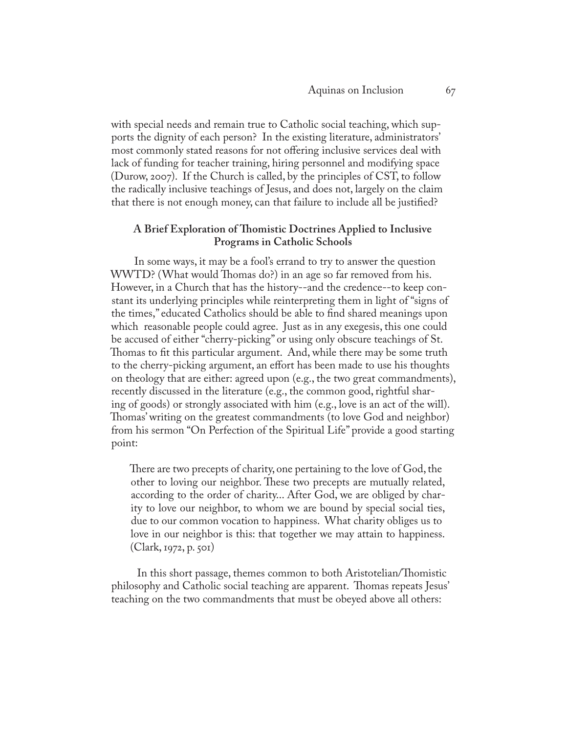with special needs and remain true to Catholic social teaching, which supports the dignity of each person? In the existing literature, administrators' most commonly stated reasons for not offering inclusive services deal with lack of funding for teacher training, hiring personnel and modifying space (Durow, 2007). If the Church is called, by the principles of CST, to follow the radically inclusive teachings of Jesus, and does not, largely on the claim that there is not enough money, can that failure to include all be justified?

### **A Brief Exploration of Thomistic Doctrines Applied to Inclusive Programs in Catholic Schools**

 In some ways, it may be a fool's errand to try to answer the question WWTD? (What would Thomas do?) in an age so far removed from his. However, in a Church that has the history--and the credence--to keep constant its underlying principles while reinterpreting them in light of "signs of the times," educated Catholics should be able to find shared meanings upon which reasonable people could agree. Just as in any exegesis, this one could be accused of either "cherry-picking" or using only obscure teachings of St. Thomas to fit this particular argument. And, while there may be some truth to the cherry-picking argument, an effort has been made to use his thoughts on theology that are either: agreed upon (e.g., the two great commandments), recently discussed in the literature (e.g., the common good, rightful sharing of goods) or strongly associated with him (e.g., love is an act of the will). Thomas' writing on the greatest commandments (to love God and neighbor) from his sermon "On Perfection of the Spiritual Life" provide a good starting point:

There are two precepts of charity, one pertaining to the love of God, the other to loving our neighbor. These two precepts are mutually related, according to the order of charity... After God, we are obliged by charity to love our neighbor, to whom we are bound by special social ties, due to our common vocation to happiness. What charity obliges us to love in our neighbor is this: that together we may attain to happiness. (Clark, 1972, p. 501)

 In this short passage, themes common to both Aristotelian/Thomistic philosophy and Catholic social teaching are apparent. Thomas repeats Jesus' teaching on the two commandments that must be obeyed above all others: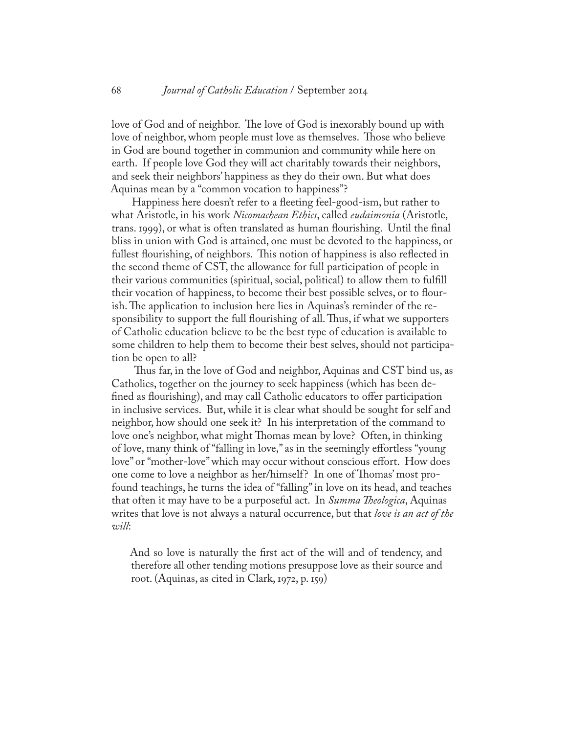love of God and of neighbor. The love of God is inexorably bound up with love of neighbor, whom people must love as themselves. Those who believe in God are bound together in communion and community while here on earth. If people love God they will act charitably towards their neighbors, and seek their neighbors' happiness as they do their own. But what does Aquinas mean by a "common vocation to happiness"?

 Happiness here doesn't refer to a fleeting feel-good-ism, but rather to what Aristotle, in his work *Nicomachean Ethics*, called *eudaimonia* (Aristotle, trans. 1999), or what is often translated as human flourishing. Until the final bliss in union with God is attained, one must be devoted to the happiness, or fullest flourishing, of neighbors. This notion of happiness is also reflected in the second theme of CST, the allowance for full participation of people in their various communities (spiritual, social, political) to allow them to fulfill their vocation of happiness, to become their best possible selves, or to flourish. The application to inclusion here lies in Aquinas's reminder of the responsibility to support the full flourishing of all. Thus, if what we supporters of Catholic education believe to be the best type of education is available to some children to help them to become their best selves, should not participation be open to all?

 Thus far, in the love of God and neighbor, Aquinas and CST bind us, as Catholics, together on the journey to seek happiness (which has been defined as flourishing), and may call Catholic educators to offer participation in inclusive services. But, while it is clear what should be sought for self and neighbor, how should one seek it? In his interpretation of the command to love one's neighbor, what might Thomas mean by love? Often, in thinking of love, many think of "falling in love," as in the seemingly effortless "young love" or "mother-love" which may occur without conscious effort. How does one come to love a neighbor as her/himself? In one of Thomas' most profound teachings, he turns the idea of "falling" in love on its head, and teaches that often it may have to be a purposeful act. In *Summa Theologica*, Aquinas writes that love is not always a natural occurrence, but that *love is an act of the will*:

And so love is naturally the first act of the will and of tendency, and therefore all other tending motions presuppose love as their source and root. (Aquinas, as cited in Clark, 1972, p. 159)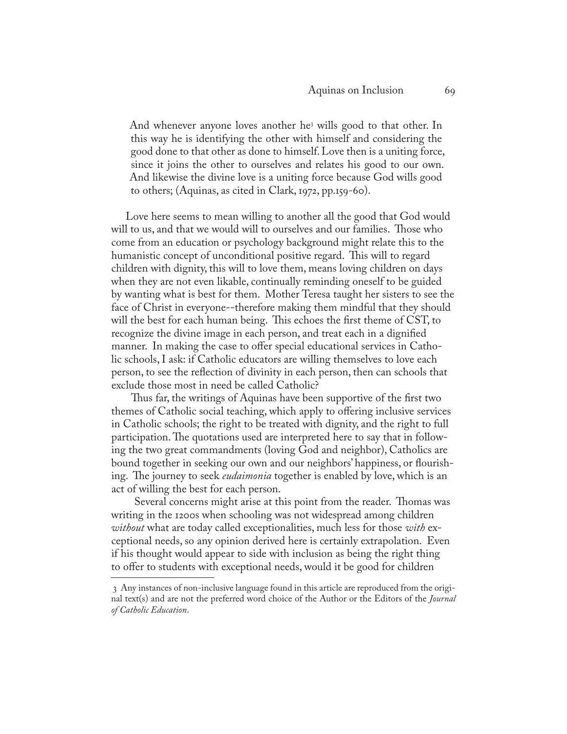And whenever anyone loves another he3 wills good to that other. In this way he is identifying the other with himself and considering the good done to that other as done to himself. Love then is a uniting force, since it joins the other to ourselves and relates his good to our own. And likewise the divine love is a uniting force because God wills good to others; (Aquinas, as cited in Clark, 1972, pp.159-60).

Love here seems to mean willing to another all the good that God would will to us, and that we would will to ourselves and our families. Those who come from an education or psychology background might relate this to the humanistic concept of unconditional positive regard. This will to regard children with dignity, this will to love them, means loving children on days when they are not even likable, continually reminding oneself to be guided by wanting what is best for them. Mother Teresa taught her sisters to see the face of Christ in everyone--therefore making them mindful that they should will the best for each human being. This echoes the first theme of CST, to recognize the divine image in each person, and treat each in a dignified manner. In making the case to offer special educational services in Catholic schools, I ask: if Catholic educators are willing themselves to love each person, to see the reflection of divinity in each person, then can schools that exclude those most in need be called Catholic?

 Thus far, the writings of Aquinas have been supportive of the first two themes of Catholic social teaching, which apply to offering inclusive services in Catholic schools; the right to be treated with dignity, and the right to full participation. The quotations used are interpreted here to say that in following the two great commandments (loving God and neighbor), Catholics are bound together in seeking our own and our neighbors' happiness, or flourishing. The journey to seek *eudaimonia* together is enabled by love, which is an act of willing the best for each person.

 Several concerns might arise at this point from the reader. Thomas was writing in the 1200s when schooling was not widespread among children *without* what are today called exceptionalities, much less for those *with* exceptional needs, so any opinion derived here is certainly extrapolation. Even if his thought would appear to side with inclusion as being the right thing to offer to students with exceptional needs, would it be good for children

 <sup>3</sup> Any instances of non-inclusive language found in this article are reproduced from the original text(s) and are not the preferred word choice of the Author or the Editors of the *Journal of Catholic Education*.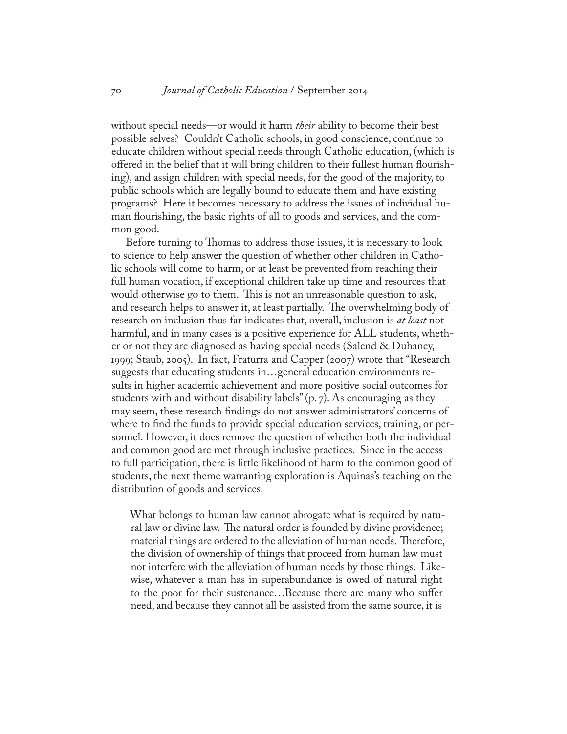without special needs—or would it harm *their* ability to become their best possible selves? Couldn't Catholic schools, in good conscience, continue to educate children without special needs through Catholic education, (which is offered in the belief that it will bring children to their fullest human flourishing), and assign children with special needs, for the good of the majority, to public schools which are legally bound to educate them and have existing programs? Here it becomes necessary to address the issues of individual human flourishing, the basic rights of all to goods and services, and the common good.

Before turning to Thomas to address those issues, it is necessary to look to science to help answer the question of whether other children in Catholic schools will come to harm, or at least be prevented from reaching their full human vocation, if exceptional children take up time and resources that would otherwise go to them. This is not an unreasonable question to ask, and research helps to answer it, at least partially. The overwhelming body of research on inclusion thus far indicates that, overall, inclusion is *at least* not harmful, and in many cases is a positive experience for ALL students, whether or not they are diagnosed as having special needs (Salend & Duhaney, 1999; Staub, 2005). In fact, Fraturra and Capper (2007) wrote that "Research suggests that educating students in…general education environments results in higher academic achievement and more positive social outcomes for students with and without disability labels" (p. 7). As encouraging as they may seem, these research findings do not answer administrators' concerns of where to find the funds to provide special education services, training, or personnel. However, it does remove the question of whether both the individual and common good are met through inclusive practices. Since in the access to full participation, there is little likelihood of harm to the common good of students, the next theme warranting exploration is Aquinas's teaching on the distribution of goods and services:

What belongs to human law cannot abrogate what is required by natural law or divine law. The natural order is founded by divine providence; material things are ordered to the alleviation of human needs. Therefore, the division of ownership of things that proceed from human law must not interfere with the alleviation of human needs by those things. Likewise, whatever a man has in superabundance is owed of natural right to the poor for their sustenance…Because there are many who suffer need, and because they cannot all be assisted from the same source, it is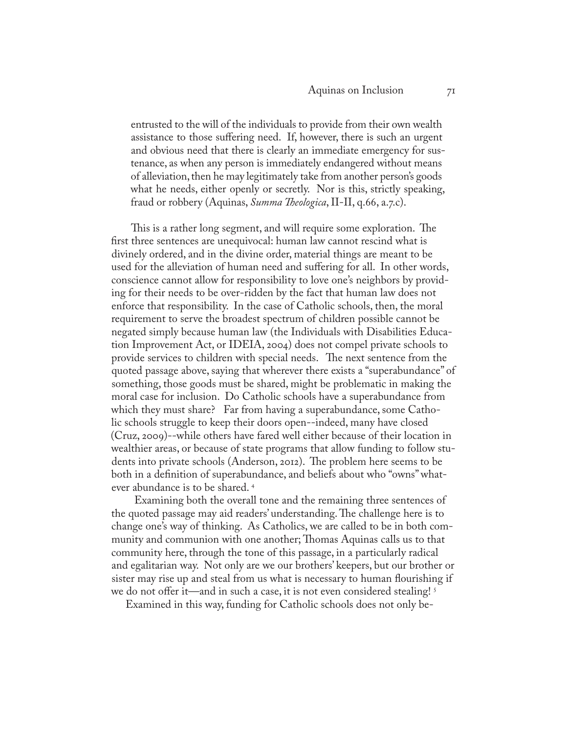entrusted to the will of the individuals to provide from their own wealth assistance to those suffering need. If, however, there is such an urgent and obvious need that there is clearly an immediate emergency for sustenance, as when any person is immediately endangered without means of alleviation, then he may legitimately take from another person's goods what he needs, either openly or secretly. Nor is this, strictly speaking, fraud or robbery (Aquinas, *Summa Theologica*, II-II, q.66, a.7.c).

 This is a rather long segment, and will require some exploration. The first three sentences are unequivocal: human law cannot rescind what is divinely ordered, and in the divine order, material things are meant to be used for the alleviation of human need and suffering for all. In other words, conscience cannot allow for responsibility to love one's neighbors by providing for their needs to be over-ridden by the fact that human law does not enforce that responsibility. In the case of Catholic schools, then, the moral requirement to serve the broadest spectrum of children possible cannot be negated simply because human law (the Individuals with Disabilities Education Improvement Act, or IDEIA, 2004) does not compel private schools to provide services to children with special needs. The next sentence from the quoted passage above, saying that wherever there exists a "superabundance" of something, those goods must be shared, might be problematic in making the moral case for inclusion. Do Catholic schools have a superabundance from which they must share? Far from having a superabundance, some Catholic schools struggle to keep their doors open--indeed, many have closed (Cruz, 2009)--while others have fared well either because of their location in wealthier areas, or because of state programs that allow funding to follow students into private schools (Anderson, 2012). The problem here seems to be both in a definition of superabundance, and beliefs about who "owns" whatever abundance is to be shared. 4

 Examining both the overall tone and the remaining three sentences of the quoted passage may aid readers' understanding. The challenge here is to change one's way of thinking. As Catholics, we are called to be in both community and communion with one another; Thomas Aquinas calls us to that community here, through the tone of this passage, in a particularly radical and egalitarian way. Not only are we our brothers' keepers, but our brother or sister may rise up and steal from us what is necessary to human flourishing if we do not offer it—and in such a case, it is not even considered stealing!<sup>5</sup>

Examined in this way, funding for Catholic schools does not only be-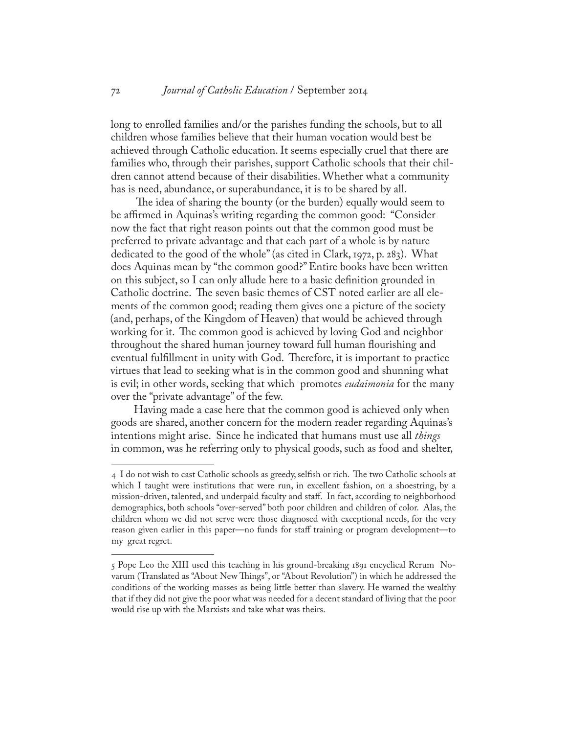long to enrolled families and/or the parishes funding the schools, but to all children whose families believe that their human vocation would best be achieved through Catholic education. It seems especially cruel that there are families who, through their parishes, support Catholic schools that their children cannot attend because of their disabilities. Whether what a community has is need, abundance, or superabundance, it is to be shared by all.

 The idea of sharing the bounty (or the burden) equally would seem to be affirmed in Aquinas's writing regarding the common good: "Consider now the fact that right reason points out that the common good must be preferred to private advantage and that each part of a whole is by nature dedicated to the good of the whole" (as cited in Clark, 1972, p. 283). What does Aquinas mean by "the common good?" Entire books have been written on this subject, so I can only allude here to a basic definition grounded in Catholic doctrine. The seven basic themes of CST noted earlier are all elements of the common good; reading them gives one a picture of the society (and, perhaps, of the Kingdom of Heaven) that would be achieved through working for it. The common good is achieved by loving God and neighbor throughout the shared human journey toward full human flourishing and eventual fulfillment in unity with God. Therefore, it is important to practice virtues that lead to seeking what is in the common good and shunning what is evil; in other words, seeking that which promotes *eudaimonia* for the many over the "private advantage" of the few.

 Having made a case here that the common good is achieved only when goods are shared, another concern for the modern reader regarding Aquinas's intentions might arise. Since he indicated that humans must use all *things* in common, was he referring only to physical goods, such as food and shelter,

<sup>4</sup> I do not wish to cast Catholic schools as greedy, selfish or rich. The two Catholic schools at which I taught were institutions that were run, in excellent fashion, on a shoestring, by a mission-driven, talented, and underpaid faculty and staff. In fact, according to neighborhood demographics, both schools "over-served" both poor children and children of color. Alas, the children whom we did not serve were those diagnosed with exceptional needs, for the very reason given earlier in this paper—no funds for staff training or program development—to my great regret.

<sup>5</sup> Pope Leo the XIII used this teaching in his ground-breaking 1891 encyclical Rerum Novarum (Translated as "About New Things", or "About Revolution") in which he addressed the conditions of the working masses as being little better than slavery. He warned the wealthy that if they did not give the poor what was needed for a decent standard of living that the poor would rise up with the Marxists and take what was theirs.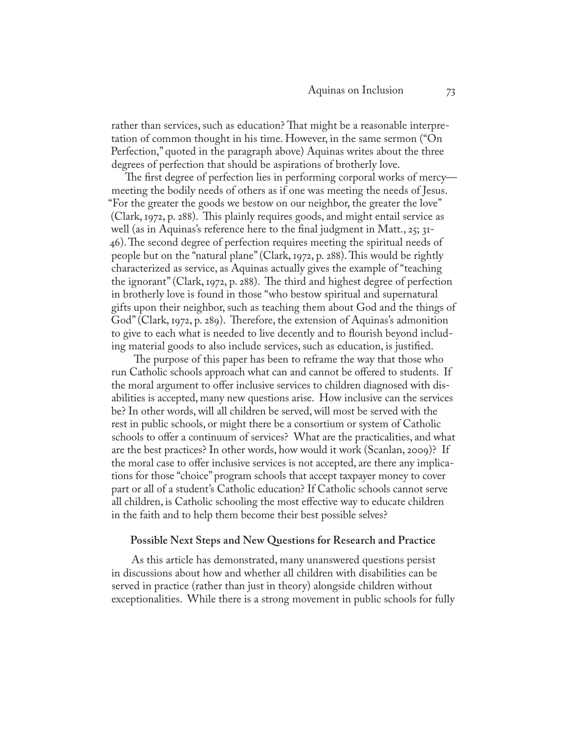rather than services, such as education? That might be a reasonable interpretation of common thought in his time. However, in the same sermon ("On Perfection," quoted in the paragraph above) Aquinas writes about the three degrees of perfection that should be aspirations of brotherly love.

The first degree of perfection lies in performing corporal works of mercy meeting the bodily needs of others as if one was meeting the needs of Jesus. "For the greater the goods we bestow on our neighbor, the greater the love" (Clark, 1972, p. 288). This plainly requires goods, and might entail service as well (as in Aquinas's reference here to the final judgment in Matt., 25; 31-46). The second degree of perfection requires meeting the spiritual needs of people but on the "natural plane" (Clark, 1972, p. 288). This would be rightly characterized as service, as Aquinas actually gives the example of "teaching the ignorant" (Clark, 1972, p. 288). The third and highest degree of perfection in brotherly love is found in those "who bestow spiritual and supernatural gifts upon their neighbor, such as teaching them about God and the things of God" (Clark, 1972, p. 289). Therefore, the extension of Aquinas's admonition to give to each what is needed to live decently and to flourish beyond including material goods to also include services, such as education, is justified.

 The purpose of this paper has been to reframe the way that those who run Catholic schools approach what can and cannot be offered to students. If the moral argument to offer inclusive services to children diagnosed with disabilities is accepted, many new questions arise. How inclusive can the services be? In other words, will all children be served, will most be served with the rest in public schools, or might there be a consortium or system of Catholic schools to offer a continuum of services? What are the practicalities, and what are the best practices? In other words, how would it work (Scanlan, 2009)? If the moral case to offer inclusive services is not accepted, are there any implications for those "choice" program schools that accept taxpayer money to cover part or all of a student's Catholic education? If Catholic schools cannot serve all children, is Catholic schooling the most effective way to educate children in the faith and to help them become their best possible selves?

#### **Possible Next Steps and New Questions for Research and Practice**

 As this article has demonstrated, many unanswered questions persist in discussions about how and whether all children with disabilities can be served in practice (rather than just in theory) alongside children without exceptionalities. While there is a strong movement in public schools for fully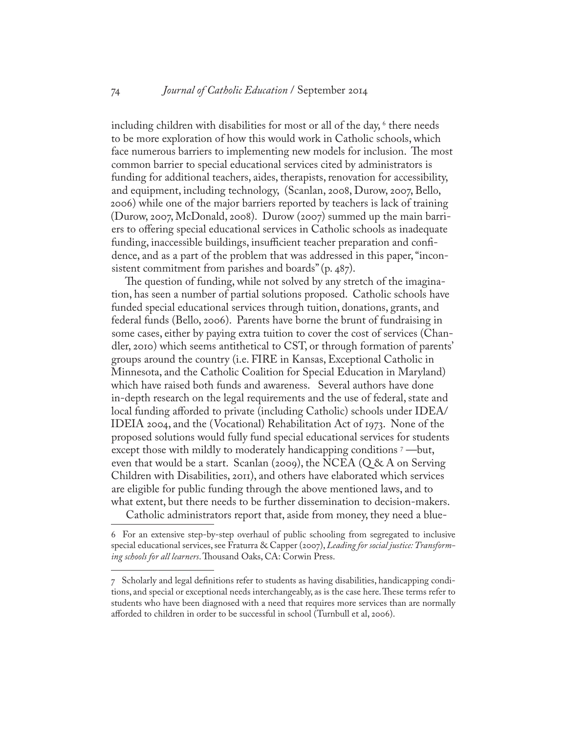including children with disabilities for most or all of the day,  $\mathrm{^6}$  there needs to be more exploration of how this would work in Catholic schools, which face numerous barriers to implementing new models for inclusion. The most common barrier to special educational services cited by administrators is funding for additional teachers, aides, therapists, renovation for accessibility, and equipment, including technology, (Scanlan, 2008, Durow, 2007, Bello, 2006) while one of the major barriers reported by teachers is lack of training (Durow, 2007, McDonald, 2008). Durow (2007) summed up the main barriers to offering special educational services in Catholic schools as inadequate funding, inaccessible buildings, insufficient teacher preparation and confidence, and as a part of the problem that was addressed in this paper, "inconsistent commitment from parishes and boards" (p. 487).

The question of funding, while not solved by any stretch of the imagination, has seen a number of partial solutions proposed. Catholic schools have funded special educational services through tuition, donations, grants, and federal funds (Bello, 2006). Parents have borne the brunt of fundraising in some cases, either by paying extra tuition to cover the cost of services (Chandler, 2010) which seems antithetical to CST, or through formation of parents' groups around the country (i.e. FIRE in Kansas, Exceptional Catholic in Minnesota, and the Catholic Coalition for Special Education in Maryland) which have raised both funds and awareness. Several authors have done in-depth research on the legal requirements and the use of federal, state and local funding afforded to private (including Catholic) schools under IDEA/ IDEIA 2004, and the (Vocational) Rehabilitation Act of 1973. None of the proposed solutions would fully fund special educational services for students except those with mildly to moderately handicapping conditions <sup>7</sup> —but, even that would be a start. Scanlan (2009), the NCEA ( $Q & A$  on Serving Children with Disabilities, 2011), and others have elaborated which services are eligible for public funding through the above mentioned laws, and to what extent, but there needs to be further dissemination to decision-makers.

Catholic administrators report that, aside from money, they need a blue-

<sup>6</sup> For an extensive step-by-step overhaul of public schooling from segregated to inclusive special educational services, see Fraturra & Capper (2007), *Leading for social justice: Transforming schools for all learners*. Thousand Oaks, CA: Corwin Press.

<sup>7</sup> Scholarly and legal definitions refer to students as having disabilities, handicapping conditions, and special or exceptional needs interchangeably, as is the case here. These terms refer to students who have been diagnosed with a need that requires more services than are normally afforded to children in order to be successful in school (Turnbull et al, 2006).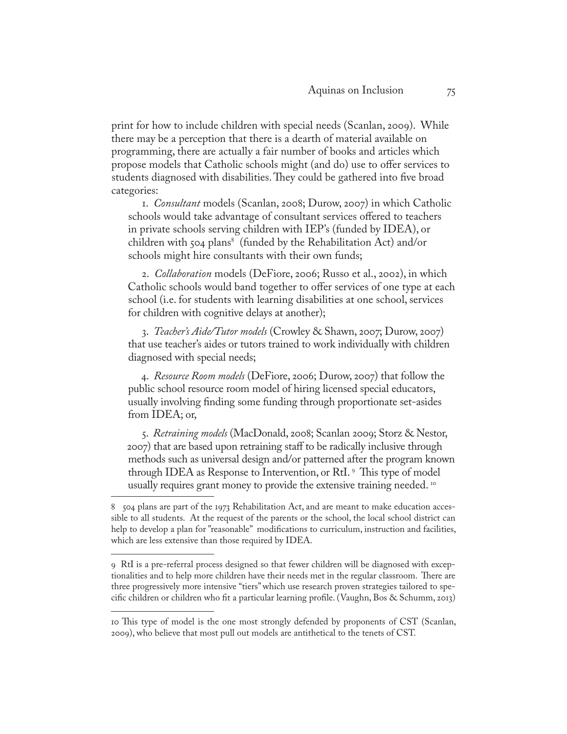print for how to include children with special needs (Scanlan, 2009). While there may be a perception that there is a dearth of material available on programming, there are actually a fair number of books and articles which propose models that Catholic schools might (and do) use to offer services to students diagnosed with disabilities. They could be gathered into five broad categories:

1. *Consultant* models (Scanlan, 2008; Durow, 2007) in which Catholic schools would take advantage of consultant services offered to teachers in private schools serving children with IEP's (funded by IDEA), or children with 504 plans<sup>8</sup> (funded by the Rehabilitation Act) and/or schools might hire consultants with their own funds;

2. *Collaboration* models (DeFiore, 2006; Russo et al., 2002), in which Catholic schools would band together to offer services of one type at each school (i.e. for students with learning disabilities at one school, services for children with cognitive delays at another);

3. *Teacher's Aide/Tutor models* (Crowley & Shawn, 2007; Durow, 2007) that use teacher's aides or tutors trained to work individually with children diagnosed with special needs;

4. *Resource Room models* (DeFiore, 2006; Durow, 2007) that follow the public school resource room model of hiring licensed special educators, usually involving finding some funding through proportionate set-asides from IDEA; or,

5. *Retraining models* (MacDonald, 2008; Scanlan 2009; Storz & Nestor, 2007) that are based upon retraining staff to be radically inclusive through methods such as universal design and/or patterned after the program known through IDEA as Response to Intervention, or RtI. 9 This type of model usually requires grant money to provide the extensive training needed.<sup>10</sup>

<sup>8 504</sup> plans are part of the 1973 Rehabilitation Act, and are meant to make education accessible to all students. At the request of the parents or the school, the local school district can help to develop a plan for "reasonable" modifications to curriculum, instruction and facilities, which are less extensive than those required by IDEA.

<sup>9</sup> RtI is a pre-referral process designed so that fewer children will be diagnosed with exceptionalities and to help more children have their needs met in the regular classroom. There are three progressively more intensive "tiers" which use research proven strategies tailored to specific children or children who fit a particular learning profile. (Vaughn, Bos & Schumm, 2013)

<sup>10</sup> This type of model is the one most strongly defended by proponents of CST (Scanlan, 2009), who believe that most pull out models are antithetical to the tenets of CST.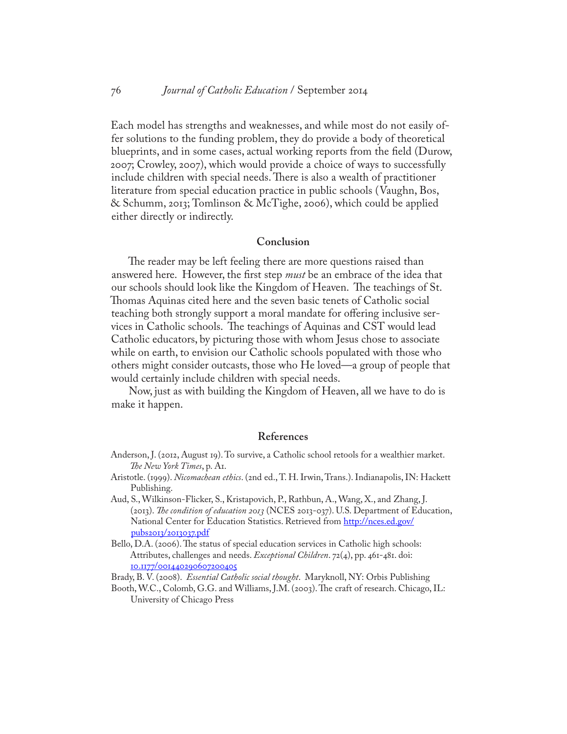Each model has strengths and weaknesses, and while most do not easily offer solutions to the funding problem, they do provide a body of theoretical blueprints, and in some cases, actual working reports from the field (Durow, 2007; Crowley, 2007), which would provide a choice of ways to successfully include children with special needs. There is also a wealth of practitioner literature from special education practice in public schools (Vaughn, Bos, & Schumm, 2013; Tomlinson & McTighe, 2006), which could be applied either directly or indirectly.

#### **Conclusion**

 The reader may be left feeling there are more questions raised than answered here. However, the first step *must* be an embrace of the idea that our schools should look like the Kingdom of Heaven. The teachings of St. Thomas Aquinas cited here and the seven basic tenets of Catholic social teaching both strongly support a moral mandate for offering inclusive services in Catholic schools. The teachings of Aquinas and CST would lead Catholic educators, by picturing those with whom Jesus chose to associate while on earth, to envision our Catholic schools populated with those who others might consider outcasts, those who He loved—a group of people that would certainly include children with special needs.

 Now, just as with building the Kingdom of Heaven, all we have to do is make it happen.

#### **References**

- Anderson, J. (2012, August 19). To survive, a Catholic school retools for a wealthier market. *The New York Times*, p. A1.
- Aristotle. (1999). *Nicomachean ethics*. (2nd ed., T. H. Irwin, Trans.). Indianapolis, IN: Hackett Publishing.
- Aud, S., Wilkinson-Flicker, S., Kristapovich, P., Rathbun, A., Wang, X., and Zhang, J. (2013). *The condition of education 2013* (NCES 2013-037). U.S. Department of Education, National Center for Education Statistics. Retrieved from [http://nces.ed.gov/](http://nces.ed.gov/pubs2013/2013037.pdf) [pubs2013/2013037.pdf](http://nces.ed.gov/pubs2013/2013037.pdf)
- Bello, D.A. (2006). The status of special education services in Catholic high schools: Attributes, challenges and needs. *Exceptional Children*. 72(4), pp. 461-481. doi: 10.1177/001440290607200405

Brady, B. V. (2008). *Essential Catholic social thought*. Maryknoll, NY: Orbis Publishing

Booth, W.C., Colomb, G.G. and Williams, J.M. (2003). The craft of research. Chicago, IL: University of Chicago Press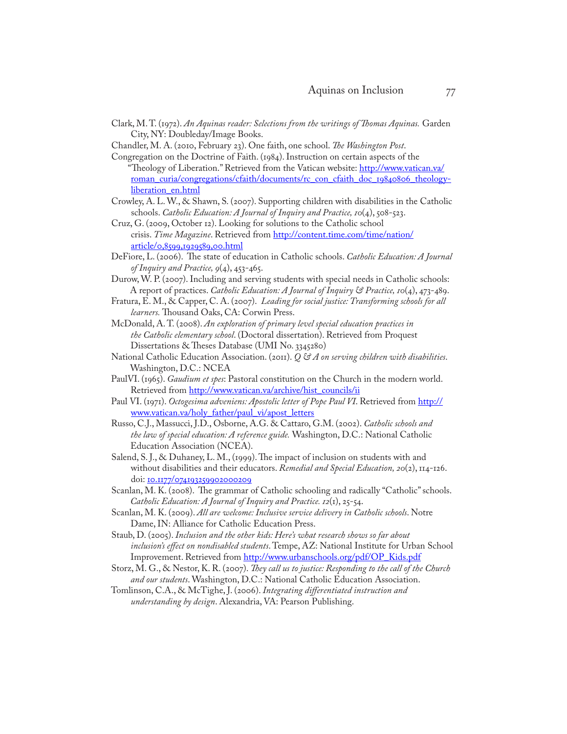- Clark, M. T. (1972). *An Aquinas reader: Selections from the writings of Thomas Aquinas.* Garden City, NY: Doubleday/Image Books.
- Chandler, M. A. (2010, February 23). One faith, one school. *The Washington Post*.

Congregation on the Doctrine of Faith. (1984). Instruction on certain aspects of the "Theology of Liberation." Retrieved from the Vatican website: http://www.vatican.va/ roman\_curia/congregations/cfaith/documents/rc\_con\_cfaith\_doc\_19840806\_theologyliberation\_en.html

- Crowley, A. L. W., & Shawn, S. (2007). Supporting children with disabilities in the Catholic schools. *Catholic Education: A Journal of Inquiry and Practice, 10*(4), 508-523.
- Cruz, G. (2009, October 12). Looking for solutions to the Catholic school crisis. *Time Magazine*. Retrieved from http://content.time.com/time/nation/ article/0,8599,1929589,00.html
- DeFiore, L. (2006). The state of education in Catholic schools. *Catholic Education: A Journal of Inquiry and Practice, 9*(4), 453-465.
- Durow, W. P. (2007). Including and serving students with special needs in Catholic schools: A report of practices. *Catholic Education: A Journal of Inquiry & Practice, 10*(4), 473-489.
- Fratura, E. M., & Capper, C. A. (2007). *Leading for social justice: Transforming schools for all learners.* Thousand Oaks, CA: Corwin Press.
- McDonald, A. T. (2008). *An exploration of primary level special education practices in the Catholic elementary school*. (Doctoral dissertation). Retrieved from Proquest Dissertations & Theses Database (UMI No. 3345280)
- National Catholic Education Association. (2011). *Q & A on serving children with disabilities*. Washington, D.C.: NCEA
- PaulVI. (1965). *Gaudium et spes*: Pastoral constitution on the Church in the modern world. Retrieved from http://www.vatican.va/archive/hist\_councils/ii
- Paul VI. (1971). *Octogesima adveniens: Apostolic letter of Pope Paul VI*. Retrieved from http:// www.vatican.va/holy\_father/paul\_vi/apost\_letters
- Russo, C.J., Massucci, J.D., Osborne, A.G. & Cattaro, G.M. (2002). *Catholic schools and the law of special education: A reference guide.* Washington, D.C.: National Catholic Education Association (NCEA).
- Salend, S. J., & Duhaney, L. M., (1999). The impact of inclusion on students with and without disabilities and their educators. *Remedial and Special Education, 20*(2), 114-126. doi: 10.1177/074193259902000209
- Scanlan, M. K. (2008). The grammar of Catholic schooling and radically "Catholic" schools. *Catholic Education: A Journal of Inquiry and Practice. 12*(1), 25-54.
- Scanlan, M. K. (2009). *All are welcome: Inclusive service delivery in Catholic schools*. Notre Dame, IN: Alliance for Catholic Education Press.
- Staub, D. (2005). *Inclusion and the other kids: Here's what research shows so far about inclusion's effect on nondisabled students*. Tempe, AZ: National Institute for Urban School Improvement. Retrieved from http://www.urbanschools.org/pdf/OP\_Kids.pdf
- Storz, M. G., & Nestor, K. R. (2007). *They call us to justice: Responding to the call of the Church and our students*. Washington, D.C.: National Catholic Education Association.
- Tomlinson, C.A., & McTighe, J. (2006). *Integrating differentiated instruction and understanding by design*. Alexandria, VA: Pearson Publishing.